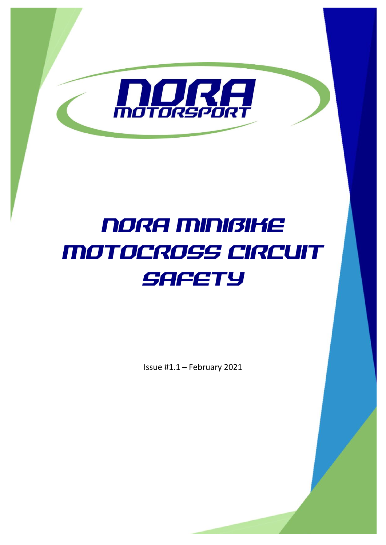

# NORA MINIBIKE MOTOCROSS CIRCUIT **SAFETY**

Issue #1.1 – February 2021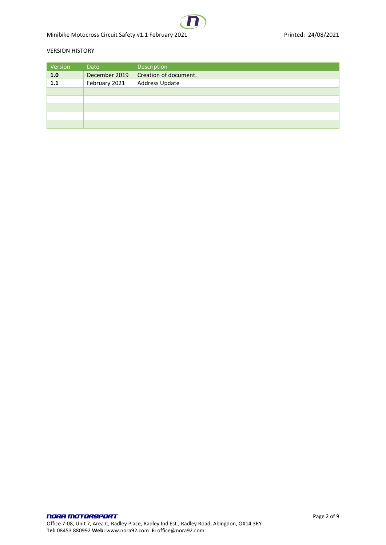Minibike Motocross Circuit Safety v1.1 February 2021 **Printed: 24/08/2021** Printed: 24/08/2021

#### VERSION HISTORY

| Version | Date          | Description           |
|---------|---------------|-----------------------|
| 1.0     | December 2019 | Creation of document. |
| 1.1     | February 2021 | Address Update        |
|         |               |                       |
|         |               |                       |
|         |               |                       |
|         |               |                       |
|         |               |                       |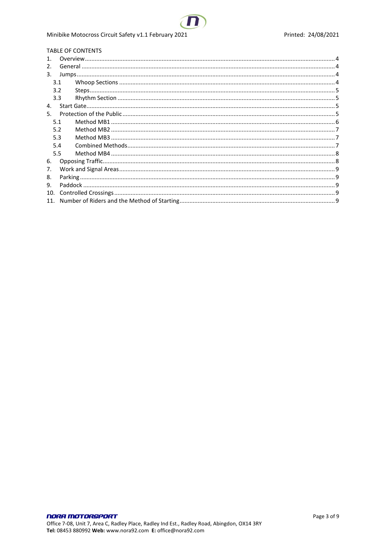#### Minibike Motocross Circuit Safety v1.1 February 2021

#### TABLE OF CONTENTS  $\lambda$  $Q$

| $\mathbf{1}$ |     |  |  |
|--------------|-----|--|--|
| 2.           |     |  |  |
| 3.           |     |  |  |
|              | 3.1 |  |  |
|              | 3.2 |  |  |
|              | 3.3 |  |  |
| 4.           |     |  |  |
| 5.           |     |  |  |
|              | 5.1 |  |  |
|              | 5.2 |  |  |
|              | 5.3 |  |  |
|              | 5.4 |  |  |
|              | 5.5 |  |  |
| 6.           |     |  |  |
| 7.           |     |  |  |
| 8.           |     |  |  |
| 9.           |     |  |  |
| 10.          |     |  |  |
| 11.          |     |  |  |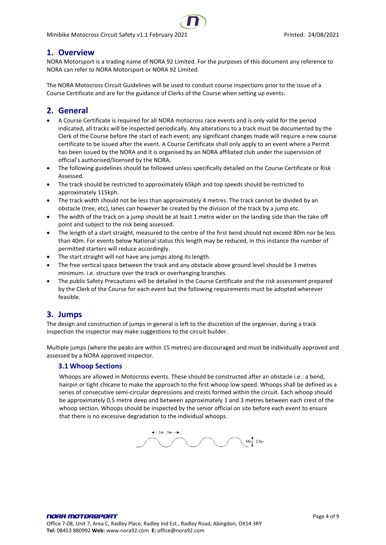## <span id="page-3-0"></span>**1. Overview**

NORA Motorsport is a trading name of NORA 92 Limited. For the purposes of this document any reference to NORA can refer to NORA Motorsport or NORA 92 Limited.

The NORA Motocross Circuit Guidelines will be used to conduct course inspections prior to the issue of a Course Certificate and are for the guidance of Clerks of the Course when setting up events.

## <span id="page-3-1"></span>**2. General**

- A Course Certificate is required for all NORA motocross race events and is only valid for the period indicated, all tracks will be inspected periodically. Any alterations to a track must be documented by the Clerk of the Course before the start of each event; any significant changes made will require a new course certificate to be issued after the event. A Course Certificate shall only apply to an event where a Permit has been issued by the NORA and it is organised by an NORA affiliated club under the supervision of official's authorised/licensed by the NORA.
- The following guidelines should be followed unless specifically detailed on the Course Certificate or Risk Assessed.
- The track should be restricted to approximately 65kph and top speeds should be restricted to approximately 115kph.
- The track width should not be less than approximately 4 metres. The track cannot be divided by an obstacle (tree, etc), lanes can however be created by the division of the track by a jump etc.
- The width of the track on a jump should be at least 1 metre wider on the landing side than the take off point and subject to the risk being assessed.
- The length of a start straight, measured to the centre of the first bend should not exceed 80m nor be less than 40m. For events below National status this length may be reduced, in this instance the number of permitted starters will reduce accordingly.
- The start straight will not have any jumps along its length.
- The free vertical space between the track and any obstacle above ground level should be 3 metres minimum. i.e. structure over the track or overhanging branches.
- The public Safety Precautions will be detailed in the Course Certificate and the risk assessment prepared by the Clerk of the Course for each event but the following requirements must be adopted wherever feasible.

### <span id="page-3-2"></span>**3. Jumps**

The design and construction of jumps in general is left to the discretion of the organiser, during a track inspection the inspector may make suggestions to the circuit builder.

Multiple jumps (where the peaks are within 15 metres) are discouraged and must be individually approved and assessed by a NORA approved inspector.

#### <span id="page-3-3"></span>**3.1 Whoop Sections**

Whoops are allowed in Motocross events. These should be constructed after an obstacle i.e.: a bend, hairpin or tight chicane to make the approach to the first whoop low speed. Whoops shall be defined as a series of consecutive semi-circular depressions and crests formed within the circuit. Each whoop should be approximately 0.5 metre deep and between approximately 1 and 3 metres between each crest of the whoop section. Whoops should be inspected by the senior official on site before each event to ensure that there is no excessive degradation to the individual whoops.

 $-1m - 3m$  $\text{Max}$  0.5m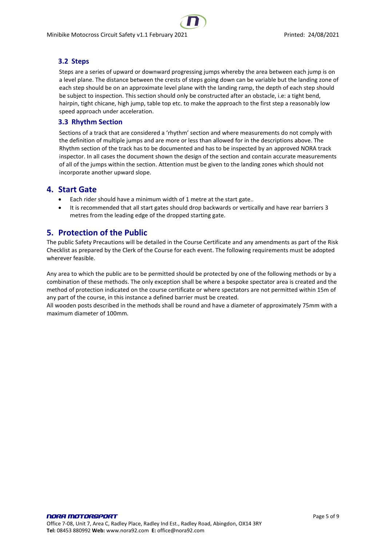#### <span id="page-4-0"></span>**3.2 Steps**

Steps are a series of upward or downward progressing jumps whereby the area between each jump is on a level plane. The distance between the crests of steps going down can be variable but the landing zone of each step should be on an approximate level plane with the landing ramp, the depth of each step should be subject to inspection. This section should only be constructed after an obstacle, i.e: a tight bend, hairpin, tight chicane, high jump, table top etc. to make the approach to the first step a reasonably low speed approach under acceleration.

#### <span id="page-4-1"></span>**3.3 Rhythm Section**

Sections of a track that are considered a 'rhythm' section and where measurements do not comply with the definition of multiple jumps and are more or less than allowed for in the descriptions above. The Rhythm section of the track has to be documented and has to be inspected by an approved NORA track inspector. In all cases the document shown the design of the section and contain accurate measurements of all of the jumps within the section. Attention must be given to the landing zones which should not incorporate another upward slope.

### <span id="page-4-2"></span>**4. Start Gate**

- Each rider should have a minimum width of 1 metre at the start gate..
- It is recommended that all start gates should drop backwards or vertically and have rear barriers 3 metres from the leading edge of the dropped starting gate.

## <span id="page-4-3"></span>**5. Protection of the Public**

The public Safety Precautions will be detailed in the Course Certificate and any amendments as part of the Risk Checklist as prepared by the Clerk of the Course for each event. The following requirements must be adopted wherever feasible.

Any area to which the public are to be permitted should be protected by one of the following methods or by a combination of these methods. The only exception shall be where a bespoke spectator area is created and the method of protection indicated on the course certificate or where spectators are not permitted within 15m of any part of the course, in this instance a defined barrier must be created.

All wooden posts described in the methods shall be round and have a diameter of approximately 75mm with a maximum diameter of 100mm.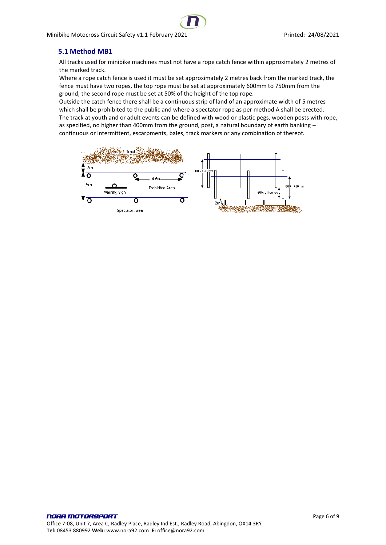### <span id="page-5-0"></span>**5.1 Method MB1**

All tracks used for minibike machines must not have a rope catch fence within approximately 2 metres of the marked track.

Where a rope catch fence is used it must be set approximately 2 metres back from the marked track, the fence must have two ropes, the top rope must be set at approximately 600mm to 750mm from the ground, the second rope must be set at 50% of the height of the top rope.

Outside the catch fence there shall be a continuous strip of land of an approximate width of 5 metres which shall be prohibited to the public and where a spectator rope as per method A shall be erected. The track at youth and or adult events can be defined with wood or plastic pegs, wooden posts with rope, as specified, no higher than 400mm from the ground, post, a natural boundary of earth banking continuous or intermittent, escarpments, bales, track markers or any combination of thereof.

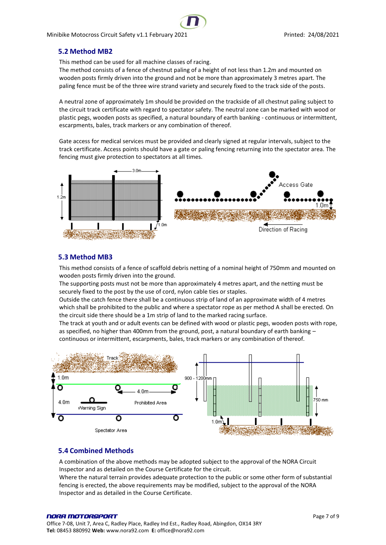#### <span id="page-6-0"></span>**5.2 Method MB2**

This method can be used for all machine classes of racing.

The method consists of a fence of chestnut paling of a height of not less than 1.2m and mounted on wooden posts firmly driven into the ground and not be more than approximately 3 metres apart. The paling fence must be of the three wire strand variety and securely fixed to the track side of the posts.

A neutral zone of approximately 1m should be provided on the trackside of all chestnut paling subject to the circuit track certificate with regard to spectator safety. The neutral zone can be marked with wood or plastic pegs, wooden posts as specified, a natural boundary of earth banking - continuous or intermittent, escarpments, bales, track markers or any combination of thereof.

Gate access for medical services must be provided and clearly signed at regular intervals, subject to the track certificate. Access points should have a gate or paling fencing returning into the spectator area. The fencing must give protection to spectators at all times.



#### <span id="page-6-1"></span>**5.3 Method MB3**

This method consists of a fence of scaffold debris netting of a nominal height of 750mm and mounted on wooden posts firmly driven into the ground.

The supporting posts must not be more than approximately 4 metres apart, and the netting must be securely fixed to the post by the use of cord, nylon cable ties or staples.

Outside the catch fence there shall be a continuous strip of land of an approximate width of 4 metres which shall be prohibited to the public and where a spectator rope as per method A shall be erected. On the circuit side there should be a 1m strip of land to the marked racing surface.

The track at youth and or adult events can be defined with wood or plastic pegs, wooden posts with rope, as specified, no higher than 400mm from the ground, post, a natural boundary of earth banking continuous or intermittent, escarpments, bales, track markers or any combination of thereof.



#### <span id="page-6-2"></span>**5.4 Combined Methods**

A combination of the above methods may be adopted subject to the approval of the NORA Circuit Inspector and as detailed on the Course Certificate for the circuit.

Where the natural terrain provides adequate protection to the public or some other form of substantial fencing is erected, the above requirements may be modified, subject to the approval of the NORA Inspector and as detailed in the Course Certificate.

#### NORA MOTORSPORT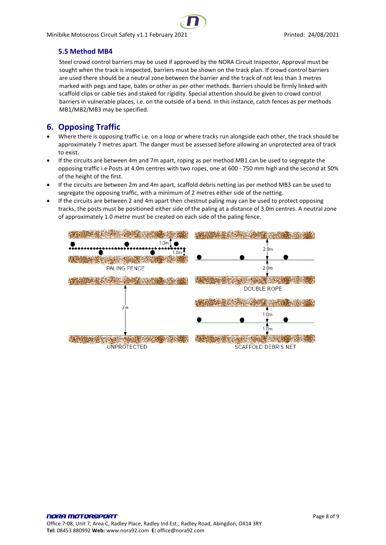### <span id="page-7-0"></span>**5.5 Method MB4**

Steel crowd control barriers may be used if approved by the NORA Circuit Inspector, Approval must be sought when the track is inspected, barriers must be shown on the track plan. If crowd control barriers are used there should be a neutral zone between the barrier and the track of not less than 3 metres marked with pegs and tape, bales or other as per other methods. Barriers should be firmly linked with scaffold clips or cable ties and staked for rigidity. Special attention should be given to crowd control barriers in vulnerable places, i.e. on the outside of a bend. In this instance, catch fences as per methods MB1/MB2/MB3 may be specified.

## <span id="page-7-1"></span>**6. Opposing Traffic**

- Where there is opposing traffic i.e. on a loop or where tracks run alongside each other, the track should be approximately 7 metres apart. The danger must be assessed before allowing an unprotected area of track to exist.
- If the circuits are between 4m and 7m apart, roping as per method MB1 can be used to segregate the opposing traffic i.e Posts at 4.0m centres with two ropes, one at 600 - 750 mm high and the second at 50% of the height of the first.
- If the circuits are between 2m and 4m apart, scaffold debris netting ias per method MB3 can be used to segregate the opposing traffic, with a minimum of 2 metres either side of the netting.
- If the circuits are between 2 and 4m apart then chestnut paling may can be used to protect opposing tracks, the posts must be positioned either side of the paling at a distance of 3.0m centres. A neutral zone of approximately 1.0 metre must be created on each side of the paling fence.